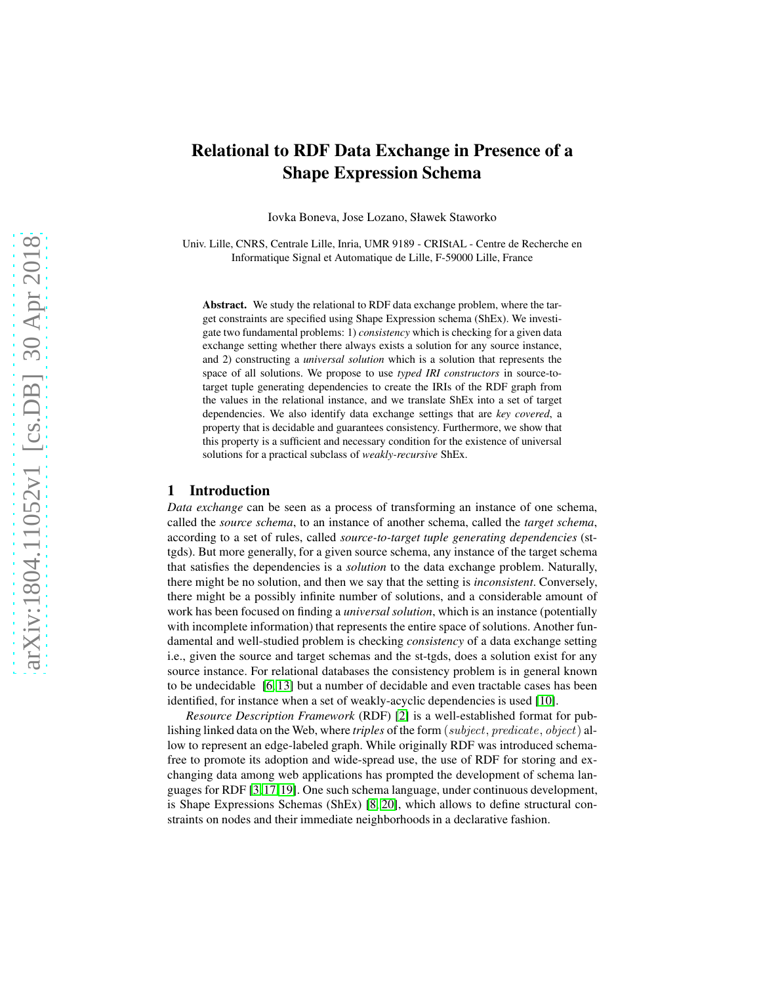# Relational to RDF Data Exchange in Presence of a Shape Expression Schema

Iovka Boneva, Jose Lozano, Sławek Staworko

Univ. Lille, CNRS, Centrale Lille, Inria, UMR 9189 - CRIStAL - Centre de Recherche en Informatique Signal et Automatique de Lille, F-59000 Lille, France

Abstract. We study the relational to RDF data exchange problem, where the target constraints are specified using Shape Expression schema (ShEx). We investigate two fundamental problems: 1) *consistency* which is checking for a given data exchange setting whether there always exists a solution for any source instance, and 2) constructing a *universal solution* which is a solution that represents the space of all solutions. We propose to use *typed IRI constructors* in source-totarget tuple generating dependencies to create the IRIs of the RDF graph from the values in the relational instance, and we translate ShEx into a set of target dependencies. We also identify data exchange settings that are *key covered*, a property that is decidable and guarantees consistency. Furthermore, we show that this property is a sufficient and necessary condition for the existence of universal solutions for a practical subclass of *weakly-recursive* ShEx.

## 1 Introduction

*Data exchange* can be seen as a process of transforming an instance of one schema, called the *source schema*, to an instance of another schema, called the *target schema*, according to a set of rules, called *source-to-target tuple generating dependencies* (sttgds). But more generally, for a given source schema, any instance of the target schema that satisfies the dependencies is a *solution* to the data exchange problem. Naturally, there might be no solution, and then we say that the setting is *inconsistent*. Conversely, there might be a possibly infinite number of solutions, and a considerable amount of work has been focused on finding a *universal solution*, which is an instance (potentially with incomplete information) that represents the entire space of solutions. Another fundamental and well-studied problem is checking *consistency* of a data exchange setting i.e., given the source and target schemas and the st-tgds, does a solution exist for any source instance. For relational databases the consistency problem is in general known to be undecidable [\[6,](#page-9-0) [13\]](#page-9-1) but a number of decidable and even tractable cases has been identified, for instance when a set of weakly-acyclic dependencies is used [\[10\]](#page-9-2).

*Resource Description Framework* (RDF) [\[2\]](#page-9-3) is a well-established format for publishing linked data on the Web, where *triples* of the form (subject, predicate, object) allow to represent an edge-labeled graph. While originally RDF was introduced schemafree to promote its adoption and wide-spread use, the use of RDF for storing and exchanging data among web applications has prompted the development of schema languages for RDF [\[3,](#page-9-4)[17,](#page-9-5)[19\]](#page-9-6). One such schema language, under continuous development, is Shape Expressions Schemas (ShEx) [\[8,](#page-9-7) [20\]](#page-10-0), which allows to define structural constraints on nodes and their immediate neighborhoods in a declarative fashion.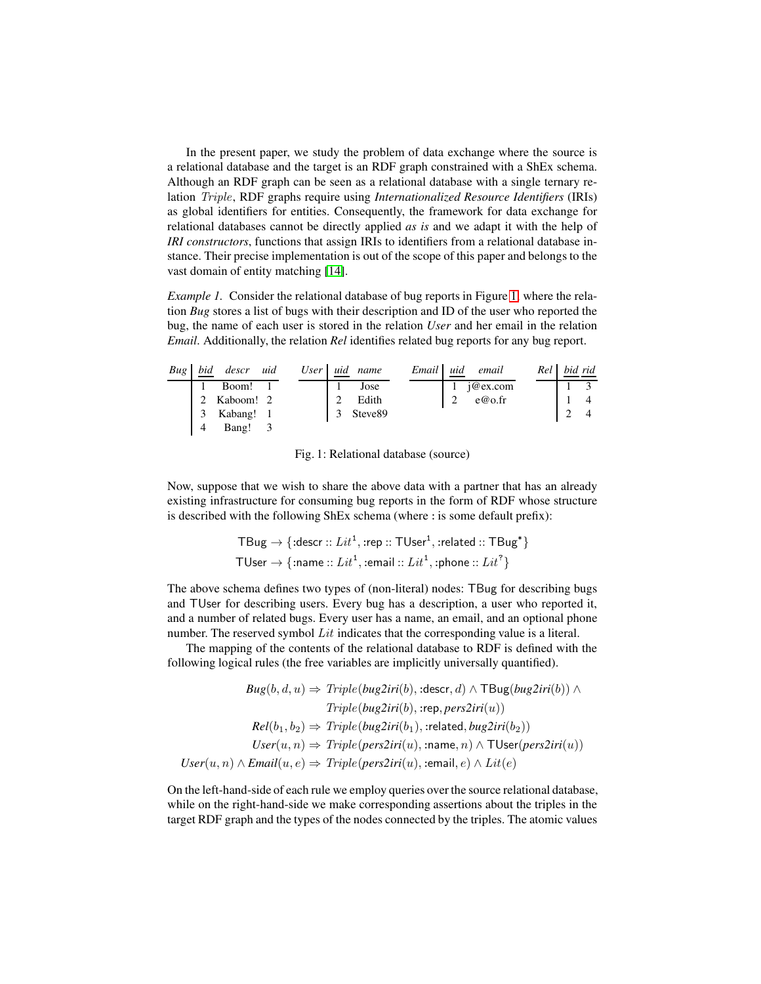In the present paper, we study the problem of data exchange where the source is a relational database and the target is an RDF graph constrained with a ShEx schema. Although an RDF graph can be seen as a relational database with a single ternary relation Triple, RDF graphs require using *Internationalized Resource Identifiers* (IRIs) as global identifiers for entities. Consequently, the framework for data exchange for relational databases cannot be directly applied *as is* and we adapt it with the help of *IRI constructors*, functions that assign IRIs to identifiers from a relational database instance. Their precise implementation is out of the scope of this paper and belongs to the vast domain of entity matching [\[14\]](#page-9-8).

<span id="page-1-1"></span>*Example 1.* Consider the relational database of bug reports in Figure [1,](#page-1-0) where the relation *Bug* stores a list of bugs with their description and ID of the user who reported the bug, the name of each user is stored in the relation *User* and her email in the relation *Email*. Additionally, the relation *Rel* identifies related bug reports for any bug report.

<span id="page-1-0"></span>

| <b>Bug</b> | bid | descr uid |  |   | User uid name | Email 1 | uid | email     | Rel 1 | bid rid |
|------------|-----|-----------|--|---|---------------|---------|-----|-----------|-------|---------|
|            |     | Boom!     |  |   | Jose          |         |     | i@ex.com  |       |         |
|            |     | Kaboom! 2 |  |   | Edith         |         |     | $e@$ o.fr |       |         |
|            |     | Kabang! 1 |  | 3 | Steve89       |         |     |           |       |         |
|            |     | Bang!     |  |   |               |         |     |           |       |         |

Fig. 1: Relational database (source)

Now, suppose that we wish to share the above data with a partner that has an already existing infrastructure for consuming bug reports in the form of RDF whose structure is described with the following ShEx schema (where : is some default prefix):

$$
\mathsf{TBug}\rightarrow\{\textsf{:descr}::\mathit{Lit}^1,\textsf{:rep}::\mathsf{TUser}^1,\textsf{:related}::\mathsf{TBug}^*\}
$$
  

$$
\mathsf{TUser}\rightarrow\{\textsf{:name}::\mathit{Lit}^1,\textsf{:email}::\mathit{Lit}^1,\textsf{:phone}::\mathit{Lit}^2\}
$$

The above schema defines two types of (non-literal) nodes: TBug for describing bugs and TUser for describing users. Every bug has a description, a user who reported it, and a number of related bugs. Every user has a name, an email, and an optional phone number. The reserved symbol  $Lit$  indicates that the corresponding value is a literal.

The mapping of the contents of the relational database to RDF is defined with the following logical rules (the free variables are implicitly universally quantified).

$$
Bug(b, d, u) \Rightarrow Triple(bug2iri(b), :descr, d) \land \text{TBug}(bug2iri(b)) \land
$$

$$
Triple(bug2iri(b), :rep, pers2iri(u))
$$

$$
Rel(b_1, b_2) \Rightarrow Triple(bug2iri(b_1), :related, bug2iri(b_2))
$$

$$
User(u, n) \Rightarrow Triple(pers2iri(u), :name, n) \land \text{TUser}(pers2iri(u))
$$

$$
User(u, n) \land Email(u, e) \Rightarrow Triple(pers2iri(u), :email, e) \land Lit(e)
$$

On the left-hand-side of each rule we employ queries over the source relational database, while on the right-hand-side we make corresponding assertions about the triples in the target RDF graph and the types of the nodes connected by the triples. The atomic values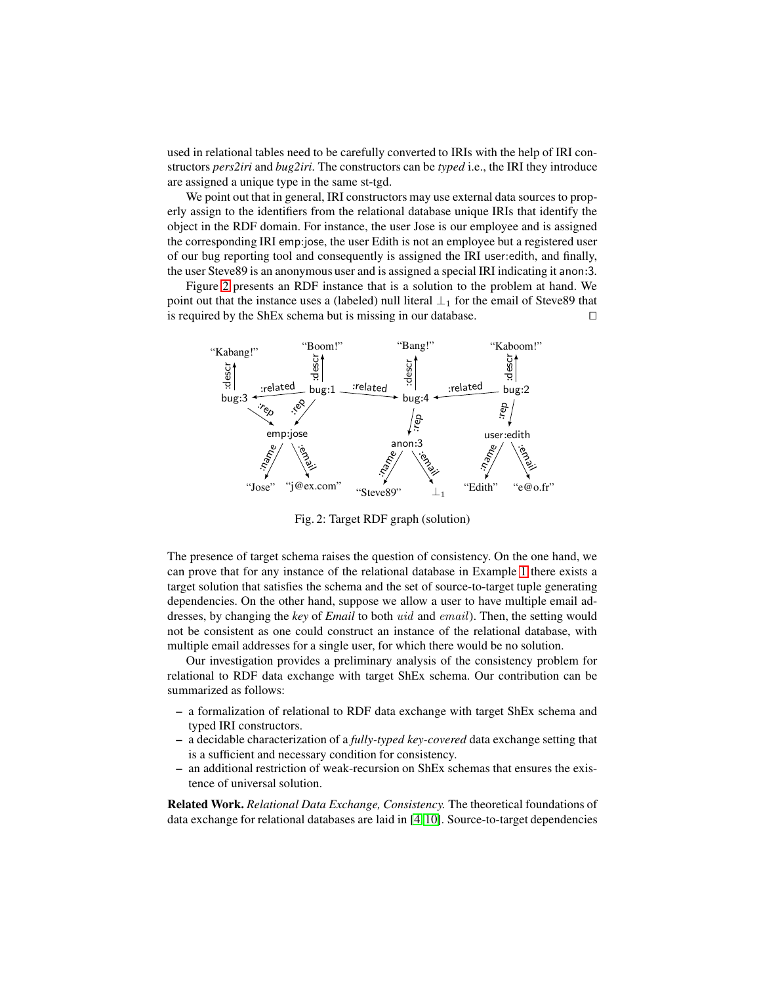used in relational tables need to be carefully converted to IRIs with the help of IRI constructors *pers2iri* and *bug2iri*. The constructors can be *typed* i.e., the IRI they introduce are assigned a unique type in the same st-tgd.

We point out that in general, IRI constructors may use external data sources to properly assign to the identifiers from the relational database unique IRIs that identify the object in the RDF domain. For instance, the user Jose is our employee and is assigned the corresponding IRI emp:jose, the user Edith is not an employee but a registered user of our bug reporting tool and consequently is assigned the IRI user:edith, and finally, the user Steve89 is an anonymous user and is assigned a special IRI indicating it anon:3.

Figure [2](#page-2-0) presents an RDF instance that is a solution to the problem at hand. We point out that the instance uses a (labeled) null literal  $\perp_1$  for the email of Steve89 that is required by the ShEx schema but is missing in our database. ⊓⊔

<span id="page-2-0"></span>

Fig. 2: Target RDF graph (solution)

The presence of target schema raises the question of consistency. On the one hand, we can prove that for any instance of the relational database in Example [1](#page-1-1) there exists a target solution that satisfies the schema and the set of source-to-target tuple generating dependencies. On the other hand, suppose we allow a user to have multiple email addresses, by changing the *key* of *Email* to both uid and email). Then, the setting would not be consistent as one could construct an instance of the relational database, with multiple email addresses for a single user, for which there would be no solution.

Our investigation provides a preliminary analysis of the consistency problem for relational to RDF data exchange with target ShEx schema. Our contribution can be summarized as follows:

- a formalization of relational to RDF data exchange with target ShEx schema and typed IRI constructors.
- a decidable characterization of a *fully-typed key-covered* data exchange setting that is a sufficient and necessary condition for consistency.
- an additional restriction of weak-recursion on ShEx schemas that ensures the existence of universal solution.

Related Work. *Relational Data Exchange, Consistency.* The theoretical foundations of data exchange for relational databases are laid in [\[4,](#page-9-9) [10\]](#page-9-2). Source-to-target dependencies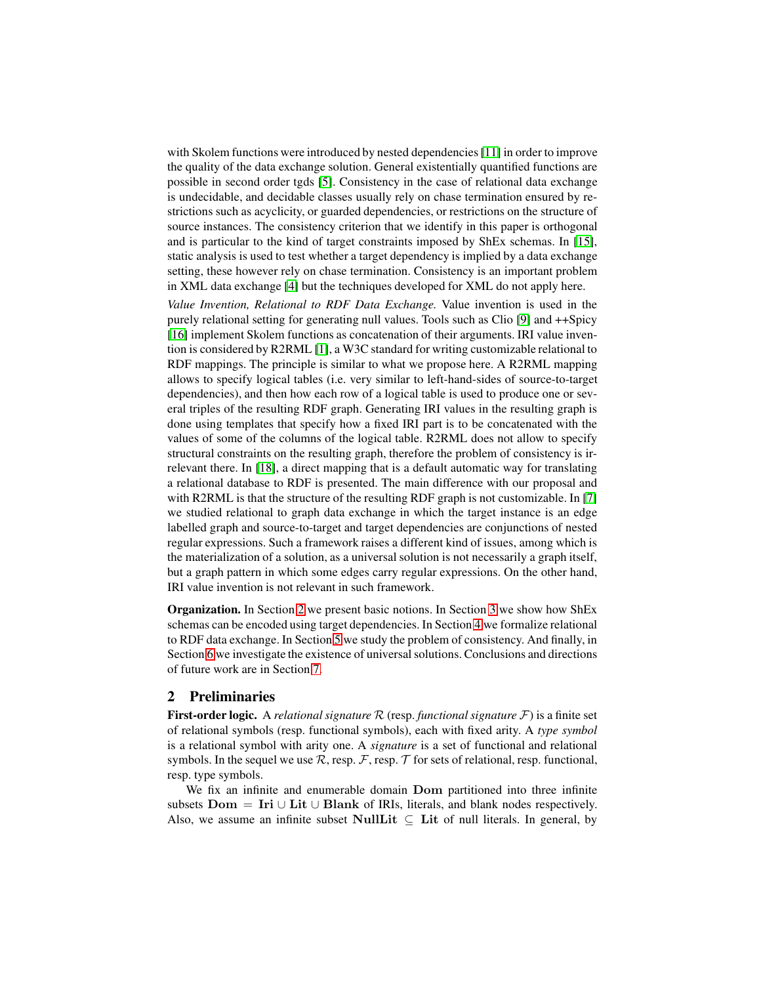with Skolem functions were introduced by nested dependencies [11] in order to improve the quality of the data exchange solution. General existentially quantified functions are possible in second order tgds [\[5\]](#page-9-10). Consistency in the case of relational data exchange is undecidable, and decidable classes usually rely on chase termination ensured by restrictions such as acyclicity, or guarded dependencies, or restrictions on the structure of source instances. The consistency criterion that we identify in this paper is orthogonal and is particular to the kind of target constraints imposed by ShEx schemas. In [\[15\]](#page-9-11), static analysis is used to test whether a target dependency is implied by a data exchange setting, these however rely on chase termination. Consistency is an important problem in XML data exchange [\[4\]](#page-9-9) but the techniques developed for XML do not apply here.

*Value Invention, Relational to RDF Data Exchange.* Value invention is used in the purely relational setting for generating null values. Tools such as Clio [\[9\]](#page-9-12) and ++Spicy [\[16\]](#page-9-13) implement Skolem functions as concatenation of their arguments. IRI value invention is considered by R2RML [\[1\]](#page-9-14), a W3C standard for writing customizable relational to RDF mappings. The principle is similar to what we propose here. A R2RML mapping allows to specify logical tables (i.e. very similar to left-hand-sides of source-to-target dependencies), and then how each row of a logical table is used to produce one or several triples of the resulting RDF graph. Generating IRI values in the resulting graph is done using templates that specify how a fixed IRI part is to be concatenated with the values of some of the columns of the logical table. R2RML does not allow to specify structural constraints on the resulting graph, therefore the problem of consistency is irrelevant there. In [\[18\]](#page-9-15), a direct mapping that is a default automatic way for translating a relational database to RDF is presented. The main difference with our proposal and with R2RML is that the structure of the resulting RDF graph is not customizable. In [\[7\]](#page-9-16) we studied relational to graph data exchange in which the target instance is an edge labelled graph and source-to-target and target dependencies are conjunctions of nested regular expressions. Such a framework raises a different kind of issues, among which is the materialization of a solution, as a universal solution is not necessarily a graph itself, but a graph pattern in which some edges carry regular expressions. On the other hand, IRI value invention is not relevant in such framework.

Organization. In Section [2](#page-3-0) we present basic notions. In Section [3](#page-5-0) we show how ShEx schemas can be encoded using target dependencies. In Section [4](#page-6-0) we formalize relational to RDF data exchange. In Section [5](#page-6-1) we study the problem of consistency. And finally, in Section [6](#page-8-0) we investigate the existence of universal solutions. Conclusions and directions of future work are in Section [7.](#page-8-1)

## <span id="page-3-0"></span>2 Preliminaries

First-order logic. A *relational signature* R (resp. *functional signature* F) is a finite set of relational symbols (resp. functional symbols), each with fixed arity. A *type symbol* is a relational symbol with arity one. A *signature* is a set of functional and relational symbols. In the sequel we use  $\mathcal{R}$ , resp.  $\mathcal{F}$ , resp.  $\mathcal{T}$  for sets of relational, resp. functional, resp. type symbols.

We fix an infinite and enumerable domain Dom partitioned into three infinite subsets  $Dom = Iri \cup Lit \cup Blank$  of IRIs, literals, and blank nodes respectively. Also, we assume an infinite subset NullLit  $\subseteq$  Lit of null literals. In general, by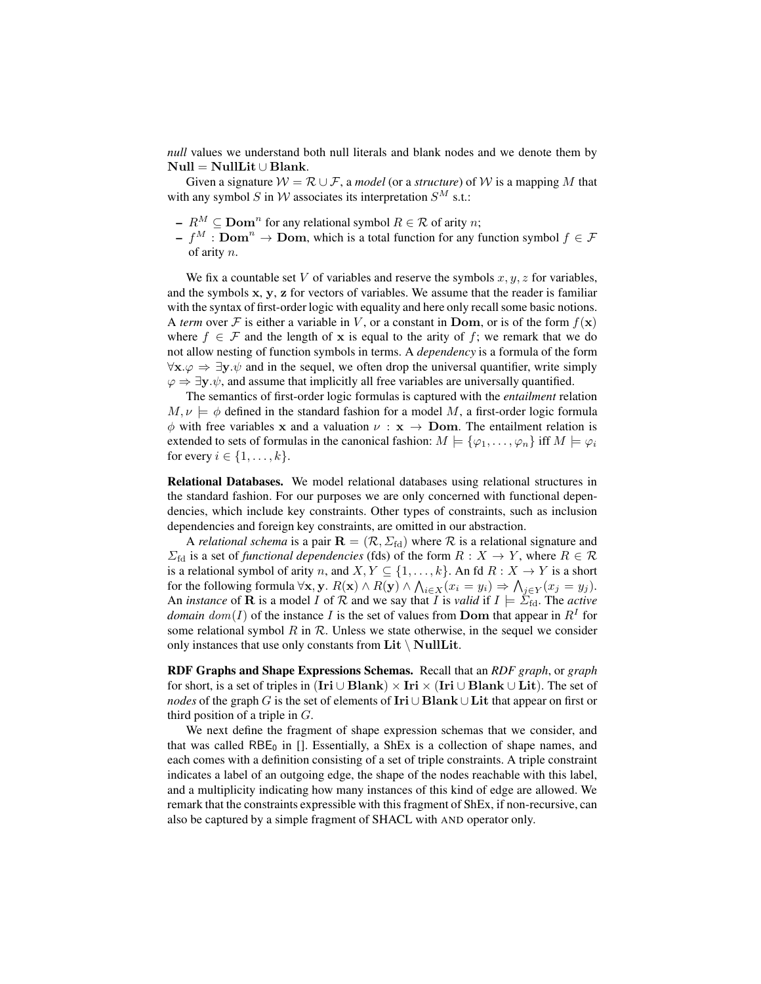*null* values we understand both null literals and blank nodes and we denote them by  $Null = NullLit \cup Blank.$ 

Given a signature  $W = \mathcal{R} \cup \mathcal{F}$ , a *model* (or a *structure*) of W is a mapping M that with any symbol S in W associates its interpretation  $S^M$  s.t.:

- $R^M \subseteq \text{Dom}^n$  for any relational symbol  $R \in \mathcal{R}$  of arity n;
- $f^M : \textbf{Dom}^n \to \textbf{Dom}$ , which is a total function for any function symbol  $f \in \mathcal{F}$ of arity n.

We fix a countable set V of variables and reserve the symbols  $x, y, z$  for variables, and the symbols  $x, y, z$  for vectors of variables. We assume that the reader is familiar with the syntax of first-order logic with equality and here only recall some basic notions. A *term* over F is either a variable in V, or a constant in Dom, or is of the form  $f(\mathbf{x})$ where  $f \in \mathcal{F}$  and the length of x is equal to the arity of f; we remark that we do not allow nesting of function symbols in terms. A *dependency* is a formula of the form  $\forall x.\varphi \Rightarrow \exists y.\psi$  and in the sequel, we often drop the universal quantifier, write simply  $\varphi \Rightarrow \exists y \cdot \psi$ , and assume that implicitly all free variables are universally quantified.

The semantics of first-order logic formulas is captured with the *entailment* relation  $M, \nu \models \phi$  defined in the standard fashion for a model M, a first-order logic formula  $\phi$  with free variables x and a valuation  $\nu : x \rightarrow$  Dom. The entailment relation is extended to sets of formulas in the canonical fashion:  $M = \{\varphi_1, \ldots, \varphi_n\}$  iff  $M \models \varphi_i$ for every  $i \in \{1, \ldots, k\}.$ 

Relational Databases. We model relational databases using relational structures in the standard fashion. For our purposes we are only concerned with functional dependencies, which include key constraints. Other types of constraints, such as inclusion dependencies and foreign key constraints, are omitted in our abstraction.

A *relational schema* is a pair  $\mathbf{R} = (\mathcal{R}, \Sigma_{\text{fd}})$  where  $\mathcal{R}$  is a relational signature and  $\Sigma_{\text{fd}}$  is a set of *functional dependencies* (fds) of the form  $R : X \to Y$ , where  $R \in \mathcal{R}$ is a relational symbol of arity n, and  $X, Y \subseteq \{1, ..., k\}$ . An fd  $R : X \to Y$  is a short for the following formula  $\forall x, y$ .  $R(x) \land R(y) \land \bigwedge_{i \in X} (x_i = y_i) \Rightarrow \bigwedge_{j \in Y} (x_j = y_j)$ . An *instance* of **R** is a model I of R and we say that I is *valid* if  $I \models \Sigma_{\text{fd}}$ . The *active domain*  $dom(I)$  of the instance I is the set of values from **Dom** that appear in  $R<sup>I</sup>$  for some relational symbol  $R$  in  $R$ . Unless we state otherwise, in the sequel we consider only instances that use only constants from  $\text{Lit} \setminus \text{NullLit}$ .

RDF Graphs and Shape Expressions Schemas. Recall that an *RDF graph*, or *graph* for short, is a set of triples in (Iri  $\cup$  Blank)  $\times$  Iri  $\times$  (Iri  $\cup$  Blank  $\cup$  Lit). The set of *nodes* of the graph G is the set of elements of Iri ∪ Blank ∪ Lit that appear on first or third position of a triple in  $G$ .

We next define the fragment of shape expression schemas that we consider, and that was called  $RBE_0$  in []. Essentially, a ShEx is a collection of shape names, and each comes with a definition consisting of a set of triple constraints. A triple constraint indicates a label of an outgoing edge, the shape of the nodes reachable with this label, and a multiplicity indicating how many instances of this kind of edge are allowed. We remark that the constraints expressible with this fragment of ShEx, if non-recursive, can also be captured by a simple fragment of SHACL with AND operator only.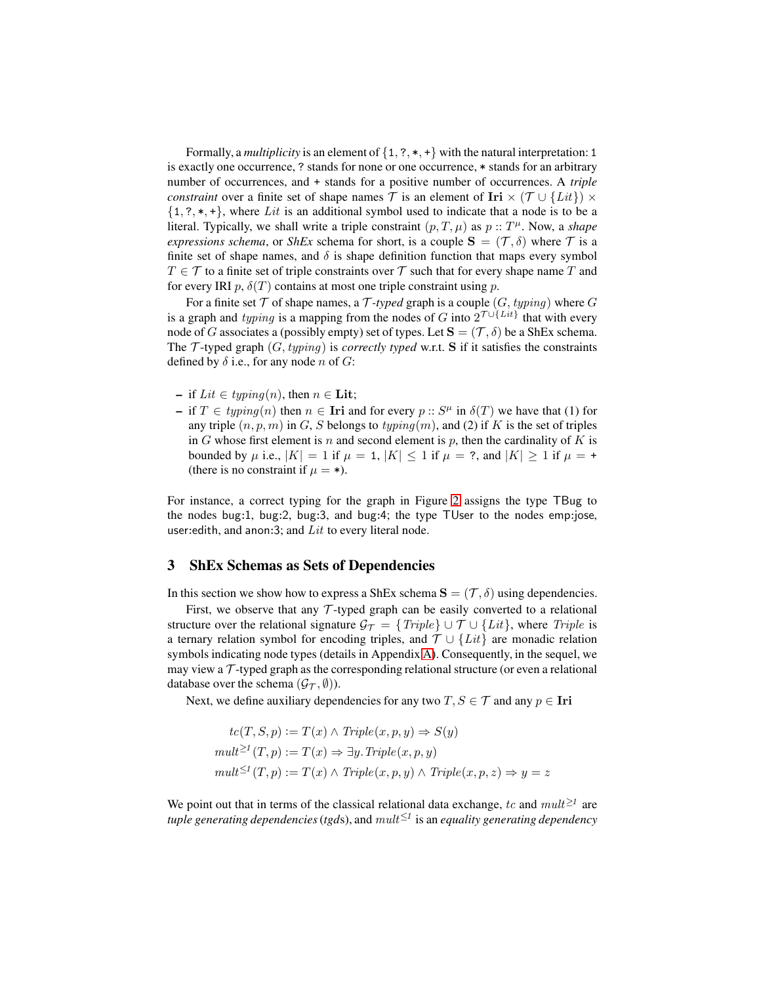Formally, a *multiplicity* is an element of  $\{1, ?, *, +\}$  with the natural interpretation: 1 is exactly one occurrence, ? stands for none or one occurrence, \* stands for an arbitrary number of occurrences, and + stands for a positive number of occurrences. A *triple constraint* over a finite set of shape names  $\mathcal T$  is an element of Iri  $\times$  ( $\mathcal T \cup \{Lit\}$ )  $\times$  $\{1, ?, *, +\}$ , where Lit is an additional symbol used to indicate that a node is to be a literal. Typically, we shall write a triple constraint  $(p, T, \mu)$  as  $p :: T^{\mu}$ . Now, a *shape expressions schema*, or *ShEx* schema for short, is a couple  $S = (\mathcal{T}, \delta)$  where  $\mathcal{T}$  is a finite set of shape names, and  $\delta$  is shape definition function that maps every symbol  $T \in \mathcal{T}$  to a finite set of triple constraints over  $\mathcal{T}$  such that for every shape name T and for every IRI  $p$ ,  $\delta(T)$  contains at most one triple constraint using p.

For a finite set  $\mathcal T$  of shape names, a  $\mathcal T$ *-typed* graph is a couple  $(G, typinq)$  where  $G$ is a graph and *typing* is a mapping from the nodes of G into  $2^{\tau \cup \{Lit\}}$  that with every node of G associates a (possibly empty) set of types. Let  $S = (\mathcal{T}, \delta)$  be a ShEx schema. The T-typed graph  $(G, typing)$  is *correctly typed* w.r.t. S if it satisfies the constraints defined by  $\delta$  i.e., for any node n of G:

- if Lit ∈ typing(n), then  $n \in$  Lit;
- $\texttt{I}$  if  $T \in \text{typing}(n)$  then  $n \in \text{Iri}$  and for every  $p :: S^{\mu}$  in  $\delta(T)$  we have that (1) for any triple  $(n, p, m)$  in G, S belongs to typing $(m)$ , and (2) if K is the set of triples in  $G$  whose first element is  $n$  and second element is  $p$ , then the cardinality of  $K$  is bounded by  $\mu$  i.e.,  $|K| = 1$  if  $\mu = 1$ ,  $|K| \le 1$  if  $\mu = ?$ , and  $|K| \ge 1$  if  $\mu = +$ (there is no constraint if  $\mu = *$ ).

For instance, a correct typing for the graph in Figure [2](#page-2-0) assigns the type TBug to the nodes bug:1, bug:2, bug:3, and bug:4; the type TUser to the nodes emp:jose, user: edith, and anon: 3; and  $Lit$  to every literal node.

# <span id="page-5-0"></span>3 ShEx Schemas as Sets of Dependencies

In this section we show how to express a ShEx schema  $S = (\mathcal{T}, \delta)$  using dependencies.

First, we observe that any  $\mathcal T$ -typed graph can be easily converted to a relational structure over the relational signature  $\mathcal{G}_{\mathcal{T}} = \{Triple\} \cup \{Lit\}$ , where Triple is a ternary relation symbol for encoding triples, and  $\mathcal{T} \cup \{Lit\}$  are monadic relation symbols indicating node types (details in Appendix [A\)](#page-11-0). Consequently, in the sequel, we may view a  $\mathcal T$ -typed graph as the corresponding relational structure (or even a relational database over the schema  $(\mathcal{G}_{\mathcal{T}}, \emptyset)$ ).

Next, we define auxiliary dependencies for any two  $T, S \in \mathcal{T}$  and any  $p \in \text{Iri}$ 

$$
tc(T, S, p) := T(x) \land Triple(x, p, y) \Rightarrow S(y)
$$

$$
mult^{\geq 1}(T, p) := T(x) \Rightarrow \exists y. Triple(x, p, y)
$$

$$
mult^{\leq 1}(T, p) := T(x) \land Triple(x, p, y) \land Triple(x, p, z) \Rightarrow y = z
$$

We point out that in terms of the classical relational data exchange, tc and  $mult^{\geq 1}$  are *tuple generating dependencies*(*tgd*s), and mult≤<sup>1</sup> is an *equality generating dependency*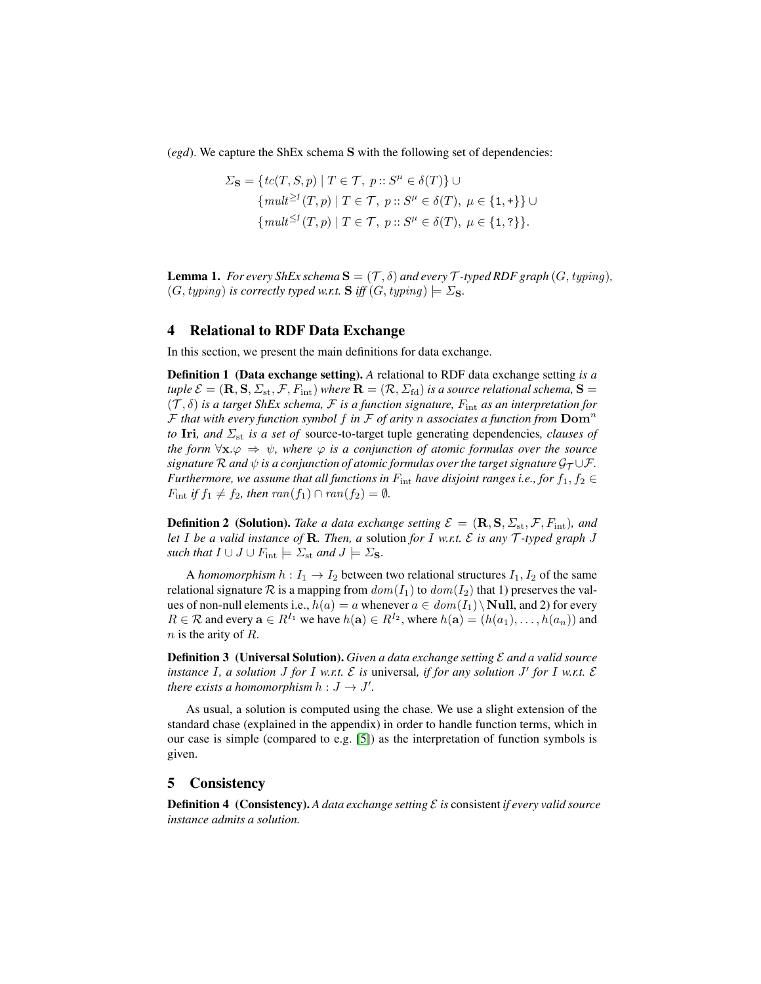(*egd*). We capture the ShEx schema S with the following set of dependencies:

$$
\Sigma_{\mathbf{S}} = \{ tc(T, S, p) \mid T \in \mathcal{T}, \ p :: S^{\mu} \in \delta(T) \} \cup
$$
  
\n
$$
\{ mult^{\geq 1}(T, p) \mid T \in \mathcal{T}, \ p :: S^{\mu} \in \delta(T), \ \mu \in \{1, +\} \} \cup
$$
  
\n
$$
\{ mult^{\leq 1}(T, p) \mid T \in \mathcal{T}, \ p :: S^{\mu} \in \delta(T), \ \mu \in \{1, ?\} \}.
$$

<span id="page-6-2"></span>**Lemma 1.** *For every ShEx schema*  $\mathbf{S} = (\mathcal{T}, \delta)$  *and every*  $\mathcal{T}$ *-typed RDF graph*  $(G, typing)$ *,*  $(G, typing)$  *is correctly typed w.r.t.* **S** *iff*  $(G, typing) \models \Sigma$ **s**.

## <span id="page-6-0"></span>4 Relational to RDF Data Exchange

In this section, we present the main definitions for data exchange.

Definition 1 (Data exchange setting). *A* relational to RDF data exchange setting *is a tuple*  $\mathcal{E} = (\mathbf{R}, \mathbf{S}, \Sigma_{st}, \mathcal{F}, F_{int})$  *where*  $\mathbf{R} = (\mathcal{R}, \Sigma_{fd})$  *is a source relational schema,*  $\mathbf{S} =$  $(\mathcal{T}, \delta)$  *is a target ShEx schema,*  $\mathcal{F}$  *is a function signature,*  $F_{\text{int}}$  *as an interpretation for* F *that with every function symbol* f *in* F *of arity* n *associates a function from* Dom<sup>n</sup> *to* Iri, and  $\Sigma_{st}$  *is a set of* source-to-target tuple generating dependencies, clauses of *the form*  $\forall x.\varphi \Rightarrow \psi$ *, where*  $\varphi$  *is a conjunction of atomic formulas over the source signature*  $\mathcal R$  *and*  $\psi$  *is a conjunction of atomic formulas over the target signature*  $\mathcal G_{\mathcal T} \cup \mathcal F$ *. Furthermore, we assume that all functions in*  $F_{\text{int}}$  *have disjoint ranges i.e., for*  $f_1, f_2 \in$  $F_{\text{int}}$  *if*  $f_1 \neq f_2$ *, then*  $ran(f_1) \cap ran(f_2) = \emptyset$ *.* 

**Definition 2** (Solution). *Take a data exchange setting*  $\mathcal{E} = (\mathbf{R}, \mathbf{S}, \Sigma_{st}, \mathcal{F}, F_{int})$ *, and let* I *be a valid instance of* R*. Then, a* solution *for* I *w.r.t.* E *is any* T *-typed graph* J *such that*  $I \cup J \cup F_{\text{int}} \models \Sigma_{\text{st}}$  *and*  $J \models \Sigma_{\text{S}}$ *.* 

A *homomorphism*  $h: I_1 \to I_2$  between two relational structures  $I_1, I_2$  of the same relational signature R is a mapping from  $dom(I_1)$  to  $dom(I_2)$  that 1) preserves the values of non-null elements i.e.,  $h(a) = a$  whenever  $a \in dom(I_1) \setminus Null$ , and 2) for every  $R \in \mathcal{R}$  and every  $\mathbf{a} \in R^{I_1}$  we have  $h(\mathbf{a}) \in R^{I_2}$ , where  $h(\mathbf{a}) = (h(a_1), \dots, h(a_n))$  and  $n$  is the arity of  $R$ .

Definition 3 (Universal Solution). *Given a data exchange setting* E *and a valid source instance* I*, a solution* J *for* I *w.r.t.* E *is* universal*, if for any solution* J ′ *for* I *w.r.t.* E *there exists a homomorphism*  $h: J \to J'$ .

As usual, a solution is computed using the chase. We use a slight extension of the standard chase (explained in the appendix) in order to handle function terms, which in our case is simple (compared to e.g. [\[5\]](#page-9-10)) as the interpretation of function symbols is given.

## <span id="page-6-1"></span>5 Consistency

Definition 4 (Consistency). *A data exchange setting* E *is* consistent *if every valid source instance admits a solution.*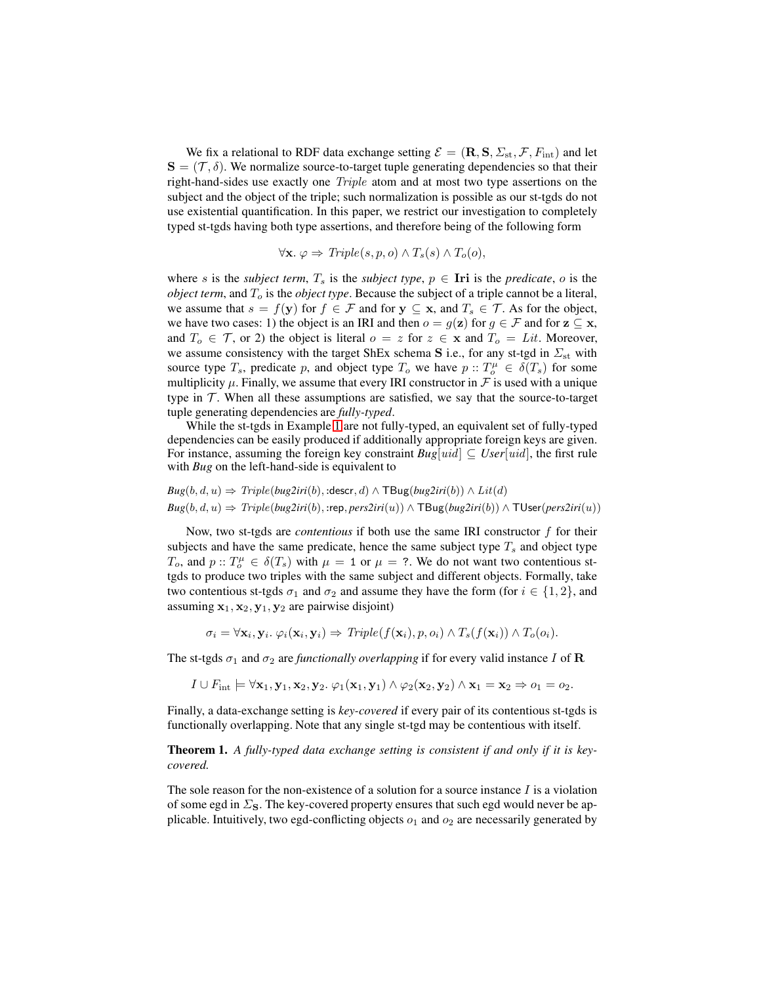We fix a relational to RDF data exchange setting  $\mathcal{E} = (\mathbf{R}, \mathbf{S}, \Sigma_{\text{st}}, \mathcal{F}, F_{\text{int}})$  and let  $S = (\mathcal{T}, \delta)$ . We normalize source-to-target tuple generating dependencies so that their right-hand-sides use exactly one Triple atom and at most two type assertions on the subject and the object of the triple; such normalization is possible as our st-tgds do not use existential quantification. In this paper, we restrict our investigation to completely typed st-tgds having both type assertions, and therefore being of the following form

$$
\forall \mathbf{x}. \ \varphi \Rightarrow Triple(s, p, o) \land T_s(s) \land T_o(o),
$$

where s is the *subject term*,  $T_s$  is the *subject type*,  $p \in$  Iri is the *predicate*, o is the *object term*, and  $T<sub>o</sub>$  is the *object type*. Because the subject of a triple cannot be a literal, we assume that  $s = f(y)$  for  $f \in \mathcal{F}$  and for  $y \subseteq x$ , and  $T_s \in \mathcal{T}$ . As for the object, we have two cases: 1) the object is an IRI and then  $o = g(\mathbf{z})$  for  $g \in \mathcal{F}$  and for  $\mathbf{z} \subseteq \mathbf{x}$ , and  $T_o \in \mathcal{T}$ , or 2) the object is literal  $o = z$  for  $z \in \mathbf{x}$  and  $T_o = Lit$ . Moreover, we assume consistency with the target ShEx schema S i.e., for any st-tgd in  $\Sigma_{st}$  with source type  $T_s$ , predicate p, and object type  $T_o$  we have  $p : T_o^{\mu} \in \delta(T_s)$  for some multiplicity  $\mu$ . Finally, we assume that every IRI constructor in  $\mathcal F$  is used with a unique type in  $\mathcal T$ . When all these assumptions are satisfied, we say that the source-to-target tuple generating dependencies are *fully-typed*.

While the st-tgds in Example [1](#page-1-1) are not fully-typed, an equivalent set of fully-typed dependencies can be easily produced if additionally appropriate foreign keys are given. For instance, assuming the foreign key constraint  $Bug[uid] \subseteq User[uid]$ , the first rule with *Bug* on the left-hand-side is equivalent to

$$
Bug(b, d, u) \Rightarrow Triple(bug2iri(b), : \text{descr}, d) \land \text{TBug}(bug2iri(b)) \land Lit(d)
$$
  

$$
Bug(b, d, u) \Rightarrow Triple(bug2iri(b), : \text{rep}, \text{pers2iri}(u)) \land \text{TBug}(bug2iri(b)) \land \text{TUser}(\text{pers2iri}(u))
$$

Now, two st-tgds are *contentious* if both use the same IRI constructor f for their subjects and have the same predicate, hence the same subject type  $T_s$  and object type  $T_o$ , and  $p: T_o^{\mu} \in \delta(T_s)$  with  $\mu = 1$  or  $\mu = ?$ . We do not want two contentious sttgds to produce two triples with the same subject and different objects. Formally, take two contentious st-tgds  $\sigma_1$  and  $\sigma_2$  and assume they have the form (for  $i \in \{1,2\}$ , and assuming  $x_1, x_2, y_1, y_2$  are pairwise disjoint)

$$
\sigma_i = \forall \mathbf{x}_i, \mathbf{y}_i. \; \varphi_i(\mathbf{x}_i, \mathbf{y}_i) \Rightarrow Triple(f(\mathbf{x}_i), p, o_i) \land T_s(f(\mathbf{x}_i)) \land T_o(o_i).
$$

The st-tgds  $\sigma_1$  and  $\sigma_2$  are *functionally overlapping* if for every valid instance I of R

$$
I \cup F_{\mathrm{int}} \models \forall \mathbf{x}_1, \mathbf{y}_1, \mathbf{x}_2, \mathbf{y}_2 \ldots \varphi_1(\mathbf{x}_1, \mathbf{y}_1) \wedge \varphi_2(\mathbf{x}_2, \mathbf{y}_2) \wedge \mathbf{x}_1 = \mathbf{x}_2 \Rightarrow o_1 = o_2.
$$

<span id="page-7-0"></span>Finally, a data-exchange setting is *key-covered* if every pair of its contentious st-tgds is functionally overlapping. Note that any single st-tgd may be contentious with itself.

Theorem 1. *A fully-typed data exchange setting is consistent if and only if it is keycovered.*

The sole reason for the non-existence of a solution for a source instance  $I$  is a violation of some egd in  $\Sigma$ <sub>S</sub>. The key-covered property ensures that such egd would never be applicable. Intuitively, two egd-conflicting objects  $o_1$  and  $o_2$  are necessarily generated by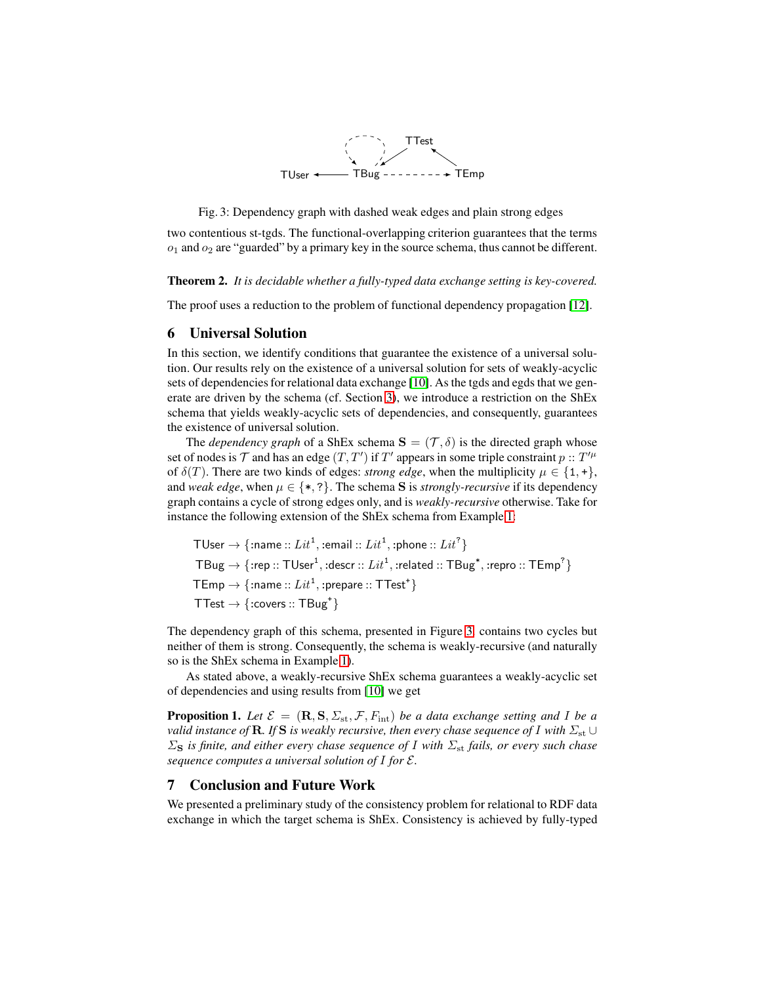

<span id="page-8-2"></span>Fig. 3: Dependency graph with dashed weak edges and plain strong edges

two contentious st-tgds. The functional-overlapping criterion guarantees that the terms  $o_1$  and  $o_2$  are "guarded" by a primary key in the source schema, thus cannot be different.

<span id="page-8-3"></span>Theorem 2. *It is decidable whether a fully-typed data exchange setting is key-covered.*

<span id="page-8-0"></span>The proof uses a reduction to the problem of functional dependency propagation [\[12\]](#page-9-17).

## 6 Universal Solution

In this section, we identify conditions that guarantee the existence of a universal solution. Our results rely on the existence of a universal solution for sets of weakly-acyclic sets of dependencies for relational data exchange [\[10\]](#page-9-2). As the tgds and egds that we generate are driven by the schema (cf. Section [3\)](#page-5-0), we introduce a restriction on the ShEx schema that yields weakly-acyclic sets of dependencies, and consequently, guarantees the existence of universal solution.

The *dependency graph* of a ShEx schema  $S = (\mathcal{T}, \delta)$  is the directed graph whose set of nodes is  $\mathcal T$  and has an edge  $(T, T')$  if  $T'$  appears in some triple constraint  $p : T'^\mu$ of  $\delta(T)$ . There are two kinds of edges: *strong edge*, when the multiplicity  $\mu \in \{1, +\},\$ and *weak edge*, when  $\mu \in \{*, ?\}$ . The schema S is *strongly-recursive* if its dependency graph contains a cycle of strong edges only, and is *weakly-recursive* otherwise. Take for instance the following extension of the ShEx schema from Example [1:](#page-1-1)

 $\mathsf{TUser} \rightarrow \{\text{:name} : Lit^1, \text{:email} : Lit^1, \text{:phone} :: Lit^2\}$  $\mathsf{TBug} \rightarrow \{ \mathsf{:rep} : : \mathsf{TUser}^1, \mathsf{:descr} :: \mathit{Lit}^1, \mathsf{:related} :: \mathsf{TBug}^*, \mathsf{:repr} : \mathsf{TEmp}^? \}$  $\mathsf{TEmp} \rightarrow \{\text{:name} : \mathit{Lit}^\mathbf{1}, \text{:prepare} :: \mathsf{TTest}^\mathbf{+}\}$ TTest  $\rightarrow$  {:covers :: TBug<sup>+</sup>}

The dependency graph of this schema, presented in Figure [3.](#page-8-2) contains two cycles but neither of them is strong. Consequently, the schema is weakly-recursive (and naturally so is the ShEx schema in Example [1\)](#page-1-1).

As stated above, a weakly-recursive ShEx schema guarantees a weakly-acyclic set of dependencies and using results from [\[10\]](#page-9-2) we get

**Proposition 1.** Let  $\mathcal{E} = (\mathbf{R}, \mathbf{S}, \Sigma_{\text{st}}, \mathcal{F}, F_{\text{int}})$  *be a data exchange setting and* I *be a valid instance of* **R**. If S *is weakly recursive, then every chase sequence of* I *with*  $\Sigma_{\rm st} \cup$  $\Sigma$ <sub>S</sub> *is finite, and either every chase sequence of I with*  $\Sigma$ <sub>st</sub> *fails, or every such chase sequence computes a universal solution of* I *for* E*.*

# <span id="page-8-1"></span>7 Conclusion and Future Work

We presented a preliminary study of the consistency problem for relational to RDF data exchange in which the target schema is ShEx. Consistency is achieved by fully-typed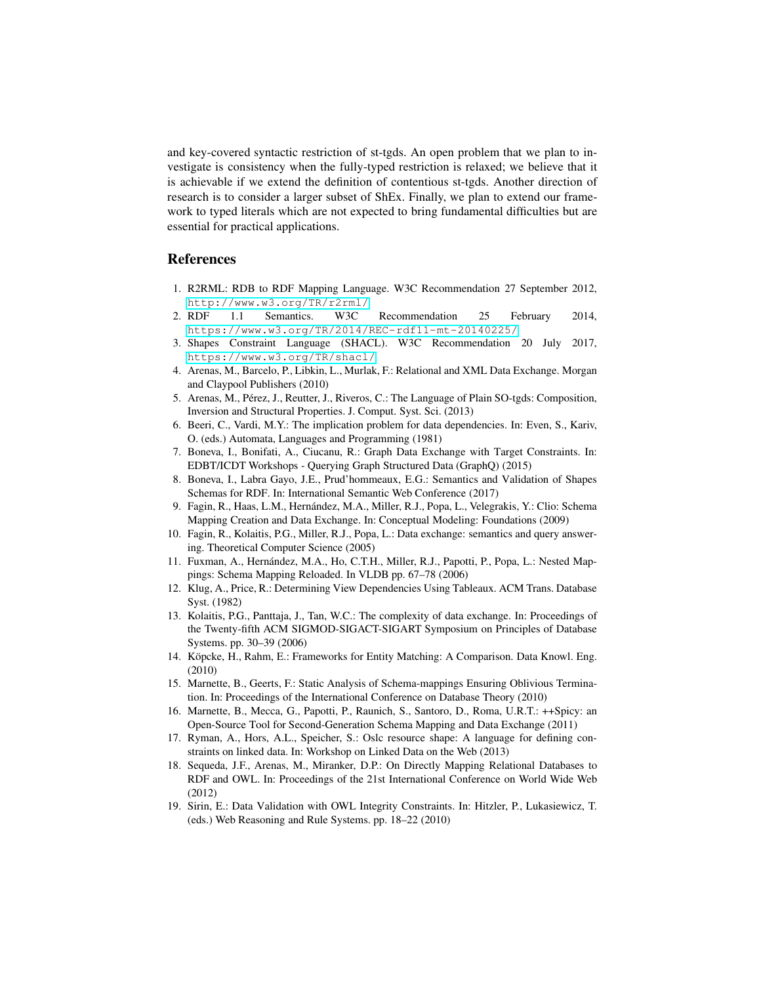and key-covered syntactic restriction of st-tgds. An open problem that we plan to investigate is consistency when the fully-typed restriction is relaxed; we believe that it is achievable if we extend the definition of contentious st-tgds. Another direction of research is to consider a larger subset of ShEx. Finally, we plan to extend our framework to typed literals which are not expected to bring fundamental difficulties but are essential for practical applications.

## <span id="page-9-14"></span>References

- <span id="page-9-3"></span>1. R2RML: RDB to RDF Mapping Language. W3C Recommendation 27 September 2012, <http://www.w3.org/TR/r2rml/><br>2. RDF 1.1 Semantics. W3C
- 1.1 Semantics. W3C Recommendation 25 February 2014, <https://www.w3.org/TR/2014/REC-rdf11-mt-20140225/>
- <span id="page-9-4"></span>3. Shapes Constraint Language (SHACL). W3C Recommendation 20 July 2017, <https://www.w3.org/TR/shacl/>
- <span id="page-9-9"></span>4. Arenas, M., Barcelo, P., Libkin, L., Murlak, F.: Relational and XML Data Exchange. Morgan and Claypool Publishers (2010)
- <span id="page-9-10"></span>5. Arenas, M., Pérez, J., Reutter, J., Riveros, C.: The Language of Plain SO-tgds: Composition, Inversion and Structural Properties. J. Comput. Syst. Sci. (2013)
- <span id="page-9-0"></span>6. Beeri, C., Vardi, M.Y.: The implication problem for data dependencies. In: Even, S., Kariv, O. (eds.) Automata, Languages and Programming (1981)
- <span id="page-9-16"></span>7. Boneva, I., Bonifati, A., Ciucanu, R.: Graph Data Exchange with Target Constraints. In: EDBT/ICDT Workshops - Querying Graph Structured Data (GraphQ) (2015)
- <span id="page-9-7"></span>8. Boneva, I., Labra Gayo, J.E., Prud'hommeaux, E.G.: Semantics and Validation of Shapes Schemas for RDF. In: International Semantic Web Conference (2017)
- <span id="page-9-12"></span>9. Fagin, R., Haas, L.M., Hernández, M.A., Miller, R.J., Popa, L., Velegrakis, Y.: Clio: Schema Mapping Creation and Data Exchange. In: Conceptual Modeling: Foundations (2009)
- <span id="page-9-2"></span>10. Fagin, R., Kolaitis, P.G., Miller, R.J., Popa, L.: Data exchange: semantics and query answering. Theoretical Computer Science (2005)
- 11. Fuxman, A., Hern´andez, M.A., Ho, C.T.H., Miller, R.J., Papotti, P., Popa, L.: Nested Mappings: Schema Mapping Reloaded. In VLDB pp. 67–78 (2006)
- <span id="page-9-17"></span>12. Klug, A., Price, R.: Determining View Dependencies Using Tableaux. ACM Trans. Database Syst. (1982)
- <span id="page-9-1"></span>13. Kolaitis, P.G., Panttaja, J., Tan, W.C.: The complexity of data exchange. In: Proceedings of the Twenty-fifth ACM SIGMOD-SIGACT-SIGART Symposium on Principles of Database Systems. pp. 30–39 (2006)
- <span id="page-9-8"></span>14. Köpcke, H., Rahm, E.: Frameworks for Entity Matching: A Comparison. Data Knowl. Eng. (2010)
- <span id="page-9-11"></span>15. Marnette, B., Geerts, F.: Static Analysis of Schema-mappings Ensuring Oblivious Termination. In: Proceedings of the International Conference on Database Theory (2010)
- <span id="page-9-13"></span>16. Marnette, B., Mecca, G., Papotti, P., Raunich, S., Santoro, D., Roma, U.R.T.: ++Spicy: an Open-Source Tool for Second-Generation Schema Mapping and Data Exchange (2011)
- <span id="page-9-5"></span>17. Ryman, A., Hors, A.L., Speicher, S.: Oslc resource shape: A language for defining constraints on linked data. In: Workshop on Linked Data on the Web (2013)
- <span id="page-9-15"></span>18. Sequeda, J.F., Arenas, M., Miranker, D.P.: On Directly Mapping Relational Databases to RDF and OWL. In: Proceedings of the 21st International Conference on World Wide Web (2012)
- <span id="page-9-6"></span>19. Sirin, E.: Data Validation with OWL Integrity Constraints. In: Hitzler, P., Lukasiewicz, T. (eds.) Web Reasoning and Rule Systems. pp. 18–22 (2010)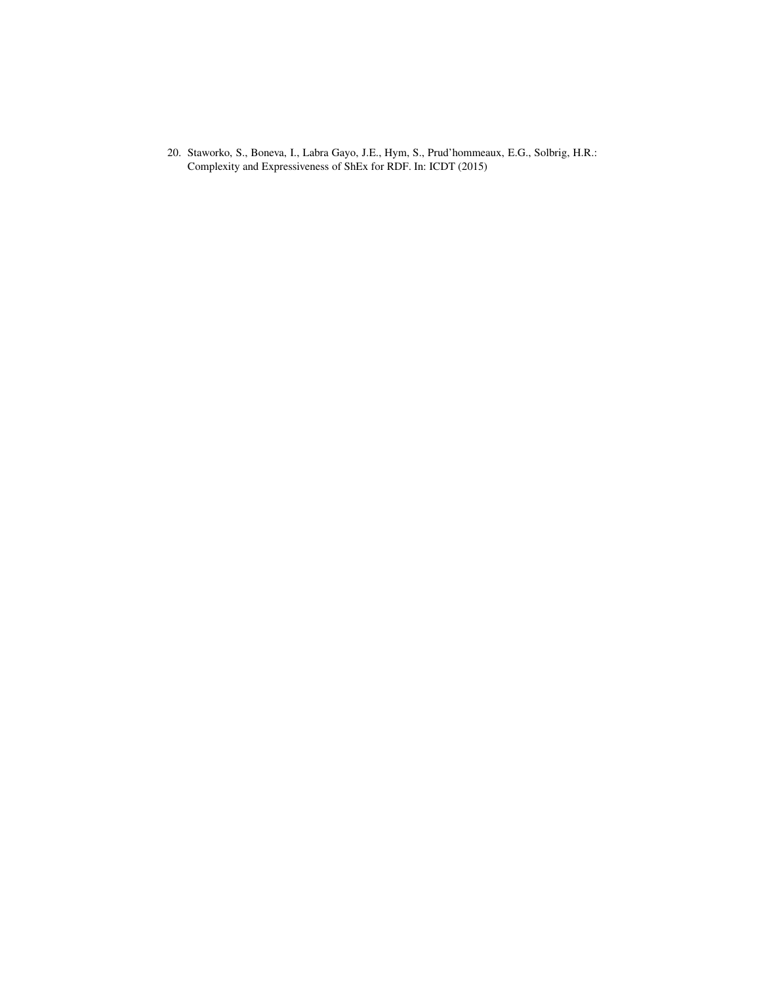<span id="page-10-0"></span>20. Staworko, S., Boneva, I., Labra Gayo, J.E., Hym, S., Prud'hommeaux, E.G., Solbrig, H.R.: Complexity and Expressiveness of ShEx for RDF. In: ICDT (2015)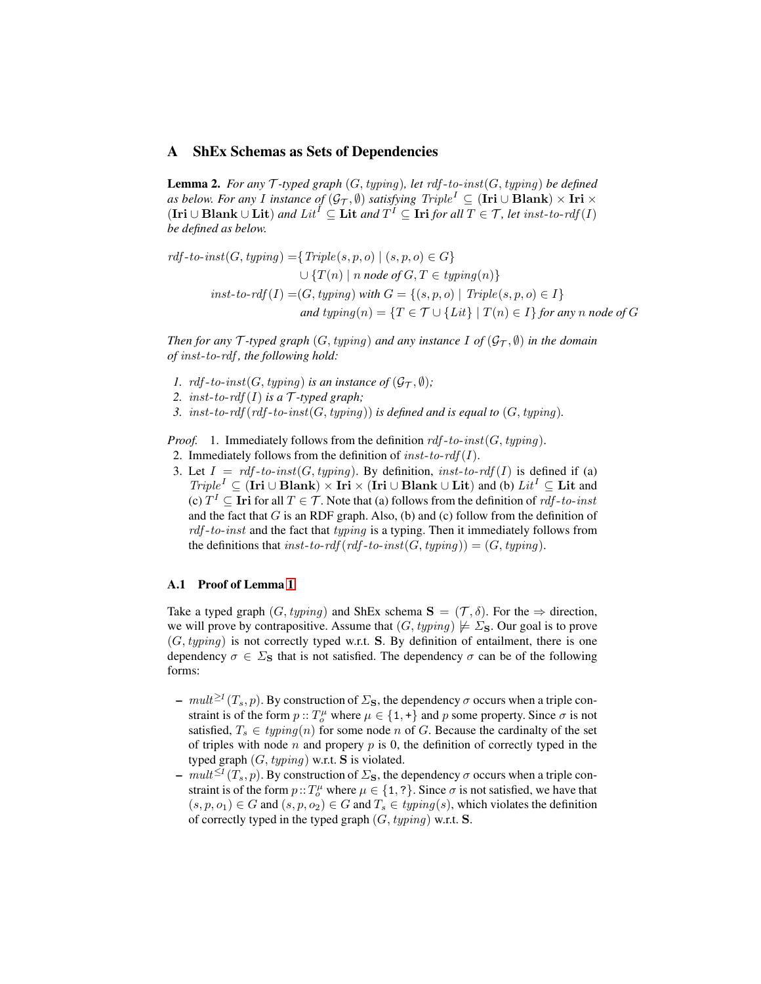## <span id="page-11-0"></span>A ShEx Schemas as Sets of Dependencies

Lemma 2. *For any* T *-typed graph* (G, typing)*, let* rdf -to-inst(G, typing) *be defined as below. For any I instance of*  $(\mathcal{G}_\mathcal{T}, \emptyset)$  *satisfying*  $Triple^I \subseteq (\mathbf{Iri} \cup \mathbf{Blank}) \times \mathbf{Iri} \times$  $(Iri ∪ Blank ∪ Lit)$  *and*  $Lit^I ⊆ Lit$  *and*  $T^I ⊆ Iri$  *for all*  $T ∈ T$ *, let inst-to-rdf*  $(I)$ *be defined as below.*

$$
rdf-to-inst(G, typing) = \{Triple(s, p, o) \mid (s, p, o) \in G\}
$$
  

$$
\cup \{T(n) \mid n \text{ node of } G, T \in typing(n)\}
$$
  

$$
inst-to-rdf(I) = (G, typing) \text{ with } G = \{(s, p, o) \mid Triple(s, p, o) \in I\}
$$
  
and typing(n) =  $\{T \in \mathcal{T} \cup \{Lit\} \mid T(n) \in I\}$  for any n node of G

*Then for any*  $\mathcal T$ *-typed graph*  $(G, typing)$  *and any instance*  $I$  *of*  $(\mathcal G_{\mathcal T}, \emptyset)$  *in the domain of* inst-to-rdf *, the following hold:*

- *1.*  $\text{rdf-to-inst}(G, \text{typing})$  *is an instance of*  $(\mathcal{G}_\mathcal{T}, \emptyset)$ *;*
- 2. inst-to-rdf(I) is a  $\mathcal{T}$ -typed graph;
- *3.* inst-to-rdf  $(rdf-to-inst(G, typing))$  *is defined and is equal to*  $(G, typing)$ *.*

*Proof.* 1. Immediately follows from the definition  $\text{rdf-to-inst}(G, \text{typing})$ .

- 2. Immediately follows from the definition of  $inst-to-rdf(I)$ .
- 3. Let  $I = rdf-to-inst(G, typing)$ . By definition,  $inst-to-rdf(I)$  is defined if (a)  $Triple^I \subseteq (\textbf{Iri} \cup \textbf{Blank}) \times \textbf{Iri} \times (\textbf{Iri} \cup \textbf{Blank} \cup \textbf{Lit})$  and (b)  $Lit^I \subseteq \textbf{Lit}$  and (c)  $T^I \subseteq$  Iri for all  $T \in \mathcal{T}$ . Note that (a) follows from the definition of *rdf*-to-inst and the fact that  $G$  is an RDF graph. Also, (b) and (c) follow from the definition of  $rdf-to-inst$  and the fact that typing is a typing. Then it immediately follows from the definitions that inst-to-rdf (rdf-to-inst(G, typing)) =  $(G, typing)$ .

## A.1 Proof of Lemma [1](#page-6-2)

Take a typed graph  $(G, typing)$  and ShEx schema  $S = (\mathcal{T}, \delta)$ . For the  $\Rightarrow$  direction, we will prove by contrapositive. Assume that  $(G, typing) \not\models \Sigma_{\mathbf{S}}$ . Our goal is to prove  $(G, typing)$  is not correctly typed w.r.t. S. By definition of entailment, there is one dependency  $\sigma \in \Sigma$ s that is not satisfied. The dependency  $\sigma$  can be of the following forms:

- $-$  mult<sup>≥1</sup> (T<sub>s</sub>, p). By construction of  $\Sigma$ <sub>S</sub>, the dependency  $\sigma$  occurs when a triple constraint is of the form  $p$  ::  $T_o^{\mu}$  where  $\mu \in \{1, +\}$  and p some property. Since  $\sigma$  is not satisfied,  $T_s \in typing(n)$  for some node n of G. Because the cardinalty of the set of triples with node  $n$  and propery  $p$  is 0, the definition of correctly typed in the typed graph  $(G, typing)$  w.r.t. **S** is violated.
- $mult^{\leq 1}(T_s, p)$ . By construction of  $\Sigma$ <sub>S</sub>, the dependency  $\sigma$  occurs when a triple constraint is of the form  $p::T_o^{\mu}$  where  $\mu \in \{1, ?\}$ . Since  $\sigma$  is not satisfied, we have that  $(s, p, o_1) \in G$  and  $(s, p, o_2) \in G$  and  $T_s \in typing(s)$ , which violates the definition of correctly typed in the typed graph  $(G, typing)$  w.r.t. S.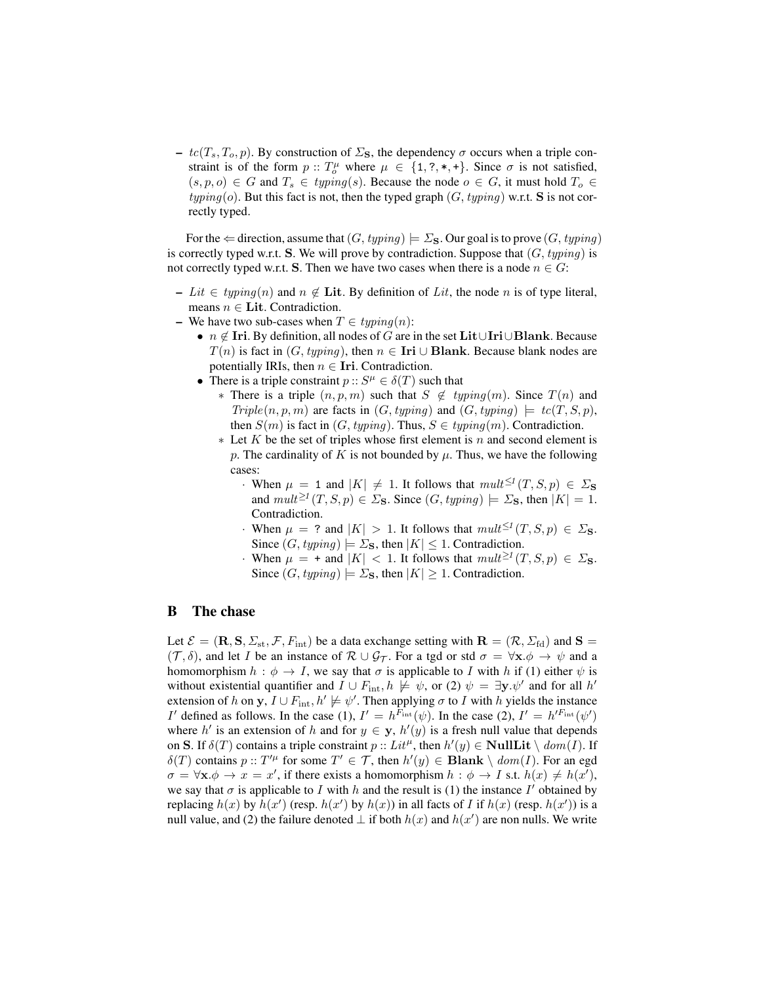–  $tc(T_s, T_o, p)$ . By construction of  $\Sigma$ <sub>S</sub>, the dependency  $\sigma$  occurs when a triple constraint is of the form  $p :: T_o^{\mu}$  where  $\mu \in \{1, ?, *, +\}.$  Since  $\sigma$  is not satisfied,  $(s, p, o) \in G$  and  $T_s \in typing(s)$ . Because the node  $o \in G$ , it must hold  $T_o \in G$  $typing(o)$ . But this fact is not, then the typed graph  $(G, typing)$  w.r.t. S is not correctly typed.

For the  $\Leftarrow$  direction, assume that  $(G, typing) \models \Sigma_S$ . Our goal is to prove  $(G, typing)$ is correctly typed w.r.t. S. We will prove by contradiction. Suppose that  $(G, typing)$  is not correctly typed w.r.t. S. Then we have two cases when there is a node  $n \in G$ :

- Lit ∈ typing(n) and  $n \notin$  Lit. By definition of Lit, the node n is of type literal, means  $n \in$  Lit. Contradiction.
- We have two sub-cases when  $T \in typing(n)$ :
	- $n \notin$  Iri. By definition, all nodes of G are in the set Lit∪Iri∪Blank. Because  $T(n)$  is fact in  $(G, typing)$ , then  $n \in \textbf{Iri} \cup \textbf{Blank}$ . Because blank nodes are potentially IRIs, then  $n \in$  Iri. Contradiction.
	- There is a triple constraint  $p: S^{\mu} \in \delta(T)$  such that
		- ∗ There is a triple  $(n, p, m)$  such that  $S \notin typing(m)$ . Since  $T(n)$  and  $Triple(n, p, m)$  are facts in  $(G, typing)$  and  $(G, typing) \models tc(T, S, p)$ , then  $S(m)$  is fact in  $(G, typing)$ . Thus,  $S \in typing(m)$ . Contradiction.
		- $*$  Let K be the set of triples whose first element is n and second element is p. The cardinality of K is not bounded by  $\mu$ . Thus, we have the following cases:
			- When  $\mu = 1$  and  $|K| \neq 1$ . It follows that  $mult^{\leq t}(T, S, p) \in \Sigma_{\mathbf{S}}$ and  $mult^{\geq 1}(T, S, p) \in \Sigma$ **s**. Since  $(G, typing) \models \Sigma$ **s**, then  $|K| = 1$ . Contradiction.
			- When  $\mu = ?$  and  $|K| > 1$ . It follows that  $mult^{\leq t}(T, S, p) \in \Sigma_{\mathbf{S}}$ . Since  $(G, typing) \models \Sigma_{\mathbf{S}}$ , then  $|K| \leq 1$ . Contradiction.
			- When  $\mu = +$  and  $|K| < 1$ . It follows that  $mult^{\geq 1}(T, S, p) \in \Sigma_{\mathbf{S}}$ . Since  $(G, typing) \models \Sigma_S$ , then  $|K| \geq 1$ . Contradiction.

## B The chase

Let  $\mathcal{E} = (\mathbf{R}, \mathbf{S}, \Sigma_{st}, \mathcal{F}, F_{int})$  be a data exchange setting with  $\mathbf{R} = (\mathcal{R}, \Sigma_{fd})$  and  $\mathbf{S} =$  $(\mathcal{T}, \delta)$ , and let I be an instance of  $\mathcal{R} \cup \mathcal{G}_{\mathcal{T}}$ . For a tgd or std  $\sigma = \forall \mathbf{x}.\phi \rightarrow \psi$  and a homomorphism  $h : \phi \to I$ , we say that  $\sigma$  is applicable to I with h if (1) either  $\psi$  is without existential quantifier and  $I \cup F_{int}$ ,  $h \not\models \psi$ , or (2)  $\psi = \exists y \cdot \psi'$  and for all  $h'$ extension of h on y,  $I \cup F_{\text{int}}$ ,  $h' \not\models \psi'$ . Then applying  $\sigma$  to I with h yields the instance I' defined as follows. In the case (1),  $I' = h^{F_{int}}(\psi)$ . In the case (2),  $I' = h'^{F_{int}}(\psi')$ where h' is an extension of h and for  $y \in y$ ,  $h'(y)$  is a fresh null value that depends on S. If  $\delta(T)$  contains a triple constraint  $p:: Lit^{\mu}$ , then  $h'(y) \in NullLit \setminus dom(I)$ . If  $\delta(T)$  contains  $p::T'^{\mu}$  for some  $T' \in \mathcal{T}$ , then  $h'(y) \in \mathbf{Blank} \setminus dom(I)$ . For an egd  $\sigma = \forall \mathbf{x}.\phi \to x = x'$ , if there exists a homomorphism  $h : \phi \to I$  s.t.  $h(x) \neq h(x')$ , we say that  $\sigma$  is applicable to I with h and the result is (1) the instance I' obtained by replacing  $h(x)$  by  $h(x')$  (resp.  $h(x')$  by  $h(x)$ ) in all facts of I if  $h(x)$  (resp.  $h(x')$ ) is a null value, and (2) the failure denoted  $\perp$  if both  $h(x)$  and  $h(x')$  are non nulls. We write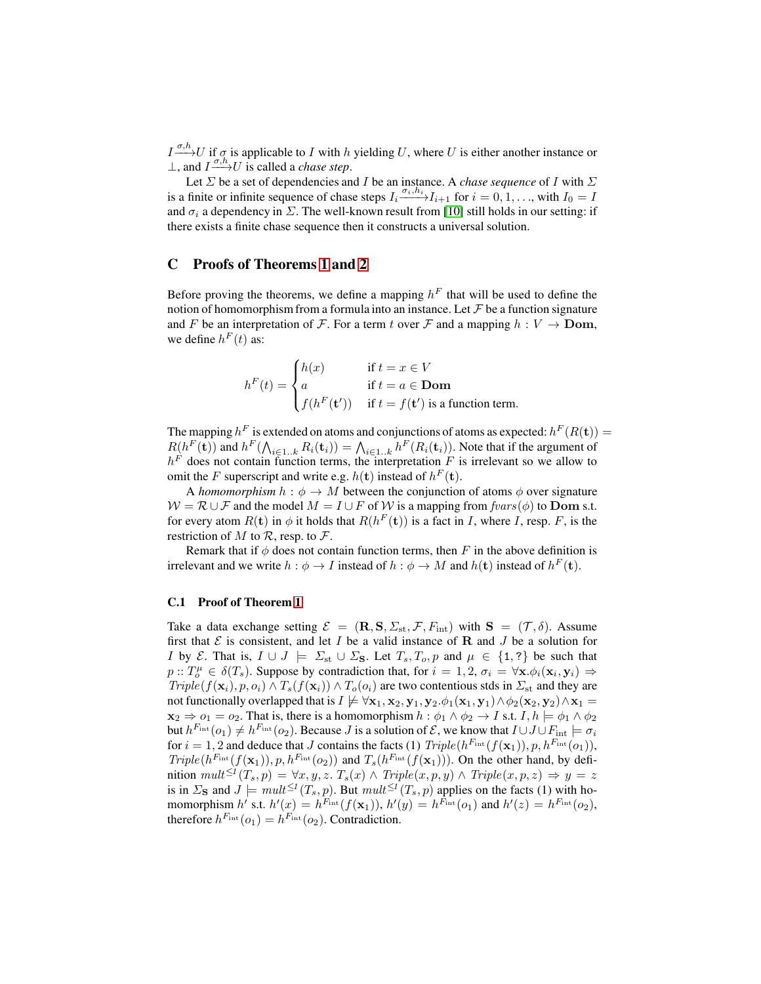$I \xrightarrow{\sigma, h} U$  if  $\sigma$  is applicable to I with h yielding U, where U is either another instance or  $\perp$ , and *I*  $\frac{\sigma, h}{\rightarrow} U$  is called a *chase step*.

Let  $\Sigma$  be a set of dependencies and I be an instance. A *chase sequence* of I with  $\Sigma$ is a finite or infinite sequence of chase steps  $I_i \xrightarrow{\sigma_i,h_i} I_{i+1}$  for  $i = 0, 1, \ldots$ , with  $I_0 = I$ and  $\sigma_i$  a dependency in  $\Sigma$ . The well-known result from [\[10\]](#page-9-2) still holds in our setting: if there exists a finite chase sequence then it constructs a universal solution.

## C Proofs of Theorems [1](#page-7-0) and [2](#page-8-3)

Before proving the theorems, we define a mapping  $h^F$  that will be used to define the notion of homomorphism from a formula into an instance. Let  $\mathcal F$  be a function signature and F be an interpretation of F. For a term t over F and a mapping  $h: V \to$  Dom, we define  $h^F(t)$  as:

$$
h^{F}(t) = \begin{cases} h(x) & \text{if } t = x \in V \\ a & \text{if } t = a \in \textbf{Dom} \\ f(h^{F}(t')) & \text{if } t = f(t') \text{ is a function term.} \end{cases}
$$

The mapping  $h^F$  is extended on atoms and conjunctions of atoms as expected:  $h^F(R(\mathbf{t})) =$  $R(h^F(\mathbf{t}))$  and  $h^F(\bigwedge_{i\in 1..k} R_i(\mathbf{t}_i)) = \bigwedge_{i\in 1..k} h^F(R_i(\mathbf{t}_i))$ . Note that if the argument of  $h<sup>F</sup>$  does not contain function terms, the interpretation F is irrelevant so we allow to omit the F superscript and write e.g.  $h(\mathbf{t})$  instead of  $h^F(\mathbf{t})$ .

A *homomorphism*  $h : \phi \to M$  between the conjunction of atoms  $\phi$  over signature  $W = \mathcal{R} \cup \mathcal{F}$  and the model  $M = I \cup F$  of W is a mapping from  $fvars(\phi)$  to Dom s.t. for every atom  $R(\mathbf{t})$  in  $\phi$  it holds that  $R(h^F(\mathbf{t}))$  is a fact in I, where I, resp. F, is the restriction of M to  $\mathcal{R}$ , resp. to  $\mathcal{F}$ .

Remark that if  $\phi$  does not contain function terms, then F in the above definition is irrelevant and we write  $h : \phi \to I$  instead of  $h : \phi \to M$  and  $h(\mathbf{t})$  instead of  $h^F(\mathbf{t})$ .

#### C.1 Proof of Theorem [1](#page-7-0)

Take a data exchange setting  $\mathcal{E} = (\mathbf{R}, \mathbf{S}, \Sigma_{\text{st}}, \mathcal{F}, F_{\text{int}})$  with  $\mathbf{S} = (\mathcal{T}, \delta)$ . Assume first that  $\mathcal E$  is consistent, and let  $I$  be a valid instance of  $\mathbf R$  and  $J$  be a solution for I by E. That is,  $I \cup J \models \Sigma_{st} \cup \Sigma_{s}$ . Let  $T_s, T_o, p$  and  $\mu \in \{1, ?\}$  be such that  $p: T_o^{\mu} \in \delta(T_s)$ . Suppose by contradiction that, for  $i = 1, 2, \sigma_i = \forall \mathbf{x} \cdot \phi_i(\mathbf{x}_i, \mathbf{y}_i) \Rightarrow$  $Triple(f(\mathbf{x}_i), p, o_i) \wedge T_s(f(\mathbf{x}_i)) \wedge T_o(o_i)$  are two contentious stds in  $\Sigma_{st}$  and they are not functionally overlapped that is  $I \not\models \forall x_1, x_2, y_1, y_2.\phi_1(x_1, y_1) \wedge \phi_2(x_2, y_2) \wedge x_1 =$  $\mathbf{x}_2 \Rightarrow o_1 = o_2$ . That is, there is a homomorphism  $h : \phi_1 \land \phi_2 \to I$  s.t.  $I, h \models \phi_1 \land \phi_2$ but  $h^{F_{int}}(o_1) \neq h^{F_{int}}(o_2)$ . Because J is a solution of  $\mathcal{E}$ , we know that  $I \cup J \cup F_{int} \models \sigma_i$ for  $i = 1, 2$  and deduce that J contains the facts (1)  $Triple(h^{F_{int}}(f(\mathbf{x}_1)), p, h^{F_{int}}(o_1)),$  $Triple(h^{F_{int}}(f(\mathbf{x}_1)), p, h^{F_{int}}(o_2))$  and  $T_s(h^{F_{int}}(f(\mathbf{x}_1)))$ . On the other hand, by definition  $mult^{\leq I}(T_s, p) = \forall x, y, z$ .  $T_s(x) \wedge Triple(x, p, y) \wedge Triple(x, p, z) \Rightarrow y = z$ is in  $\Sigma$ **s** and  $J \models \text{mult}^{\leq t}(T_s, p)$ . But  $\text{mult}^{\leq t}(T_s, p)$  applies on the facts (1) with homomorphism h' s.t.  $h'(x) = h^{F_{int}}(f(\mathbf{x}_1)), h'(y) = h^{F_{int}}(o_1)$  and  $h'(z) = h^{F_{int}}(o_2)$ , therefore  $h^{F_{int}}(o_1) = h^{F_{int}}(o_2)$ . Contradiction.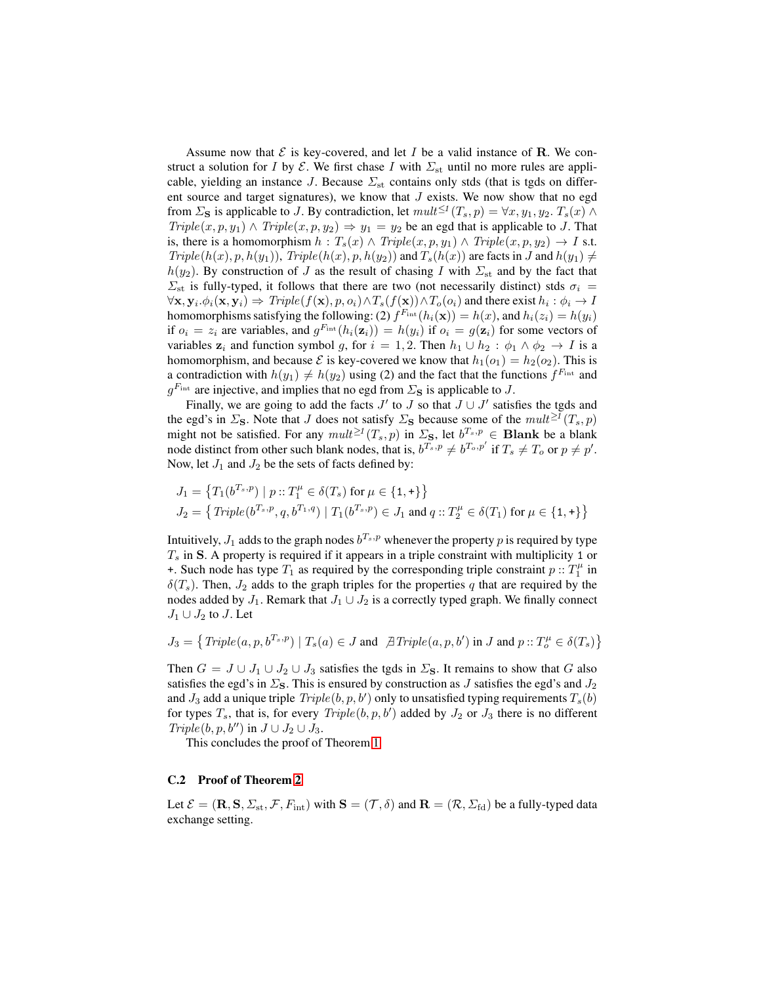Assume now that  $\mathcal E$  is key-covered, and let I be a valid instance of R. We construct a solution for I by  $\mathcal{E}$ . We first chase I with  $\Sigma_{st}$  until no more rules are applicable, yielding an instance J. Because  $\Sigma_{st}$  contains only stds (that is tgds on different source and target signatures), we know that  $J$  exists. We now show that no egd from  $\Sigma$ <sub>S</sub> is applicable to J. By contradiction, let  $mult^{\leq t}(T_s, p) = \forall x, y_1, y_2, T_s(x) \land$  $Triple(x, p, y_1) \wedge Triple(x, p, y_2) \Rightarrow y_1 = y_2$  be an egd that is applicable to J. That is, there is a homomorphism  $h : T_s(x) \wedge Triple(x, p, y_1) \wedge Triple(x, p, y_2) \rightarrow I$  s.t.  $Triple(h(x), p, h(y_1)), Triple(h(x), p, h(y_2))$  and  $T_s(h(x))$  are facts in J and  $h(y_1) \neq 0$  $h(y_2)$ . By construction of J as the result of chasing I with  $\Sigma_{st}$  and by the fact that  $\Sigma_{st}$  is fully-typed, it follows that there are two (not necessarily distinct) stds  $\sigma_i$  =  $\forall \mathbf{x},\mathbf{y}_i.\phi_i(\mathbf{x},\mathbf{y}_i) \Rightarrow \textit{Triple}(f(\mathbf{x}), p, o_i) \land T_s(f(\mathbf{x})) \land T_o(o_i)$  and there exist  $h_i: \phi_i \rightarrow I$ homomorphisms satisfying the following: (2)  $f^{F_{\text{int}}}(h_i(\mathbf{x})) = h(x)$ , and  $h_i(z_i) = h(y_i)$ if  $o_i = z_i$  are variables, and  $g^{F_{int}}(h_i(\mathbf{z}_i)) = h(y_i)$  if  $o_i = g(\mathbf{z}_i)$  for some vectors of variables  $z_i$  and function symbol g, for  $i = 1, 2$ . Then  $h_1 \cup h_2 : \phi_1 \wedge \phi_2 \rightarrow I$  is a homomorphism, and because  $\mathcal E$  is key-covered we know that  $h_1(o_1) = h_2(o_2)$ . This is a contradiction with  $h(y_1) \neq h(y_2)$  using (2) and the fact that the functions  $f^{F_{int}}$  and  $g^{F_{int}}$  are injective, and implies that no egd from  $\Sigma$ <sub>S</sub> is applicable to J.

Finally, we are going to add the facts  $J'$  to  $J$  so that  $J \cup J'$  satisfies the tgds and the egd's in  $\Sigma$ <sub>S</sub>. Note that J does not satisfy  $\Sigma$ <sub>S</sub> because some of the  $mult^{\geq I}(T_s, p)$ might not be satisfied. For any  $mult^{\geq t}(T_s, p)$  in  $\Sigma$ <sub>S</sub>, let  $b^{T_s, p} \in$  Blank be a blank node distinct from other such blank nodes, that is,  $b^{T_s,p} \neq b^{T_o,p'}$  if  $T_s \neq T_o$  or  $p \neq p'$ . Now, let  $J_1$  and  $J_2$  be the sets of facts defined by:

$$
J_1 = \left\{ T_1(b^{T_s, p}) \mid p :: T_1^{\mu} \in \delta(T_s) \text{ for } \mu \in \{1, +\} \right\}
$$
  

$$
J_2 = \left\{ \text{Triple}(b^{T_s, p}, q, b^{T_1, q}) \mid T_1(b^{T_s, p}) \in J_1 \text{ and } q :: T_2^{\mu} \in \delta(T_1) \text{ for } \mu \in \{1, +\} \right\}
$$

Intuitively,  $J_1$  adds to the graph nodes  $b^{T_s,p}$  whenever the property  $p$  is required by type  $T<sub>s</sub>$  in S. A property is required if it appears in a triple constraint with multiplicity 1 or +. Such node has type  $T_1$  as required by the corresponding triple constraint  $p:: T_1^{\mu}$  in  $\delta(T_s)$ . Then,  $J_2$  adds to the graph triples for the properties q that are required by the nodes added by  $J_1$ . Remark that  $J_1 \cup J_2$  is a correctly typed graph. We finally connect  $J_1 \cup J_2$  to J. Let

$$
J_3 = \left\{ \text{Triple}(a, p, b^{T_s, p}) \mid T_s(a) \in J \text{ and } \text{ } \nexists \text{ Triple}(a, p, b') \text{ in } J \text{ and } p :: T_o^{\mu} \in \delta(T_s) \right\}
$$

Then  $G = J \cup J_1 \cup J_2 \cup J_3$  satisfies the tgds in  $\Sigma$ <sub>S</sub>. It remains to show that G also satisfies the egd's in  $\Sigma$ <sub>S</sub>. This is ensured by construction as J satisfies the egd's and  $J_2$ and  $J_3$  add a unique triple  $Triple(b, p, b')$  only to unsatisfied typing requirements  $T_s(b)$ for types  $T_s$ , that is, for every  $Triple(b, p, b')$  added by  $J_2$  or  $J_3$  there is no different  $Triple(b, p, b'')$  in  $J \cup J_2 \cup J_3$ .

This concludes the proof of Theorem [1.](#page-7-0)

#### C.2 Proof of Theorem [2](#page-8-3)

Let  $\mathcal{E} = (\mathbf{R}, \mathbf{S}, \Sigma_{st}, \mathcal{F}, F_{int})$  with  $\mathbf{S} = (\mathcal{T}, \delta)$  and  $\mathbf{R} = (\mathcal{R}, \Sigma_{fd})$  be a fully-typed data exchange setting.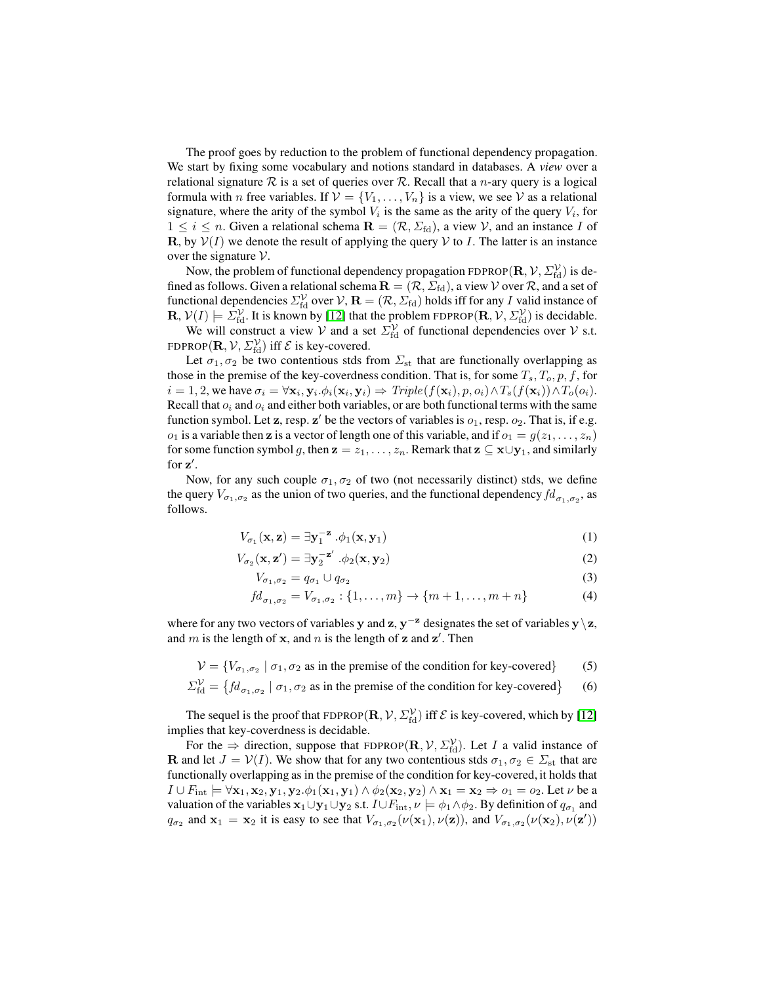The proof goes by reduction to the problem of functional dependency propagation. We start by fixing some vocabulary and notions standard in databases. A *view* over a relational signature  $R$  is a set of queries over  $R$ . Recall that a *n*-ary query is a logical formula with *n* free variables. If  $V = \{V_1, \ldots, V_n\}$  is a view, we see V as a relational signature, where the arity of the symbol  $V_i$  is the same as the arity of the query  $V_i$ , for  $1 \leq i \leq n$ . Given a relational schema  $\mathbf{R} = (\mathcal{R}, \Sigma_{\text{fd}})$ , a view  $\mathcal{V}$ , and an instance I of R, by  $V(I)$  we denote the result of applying the query V to I. The latter is an instance over the signature  $V$ .

Now, the problem of functional dependency propagation FDPROP $({\bf R}, {\cal V}, \Sigma_{\rm fd}^{\cal V})$  is defined as follows. Given a relational schema  $\mathbf{R} = (\mathcal{R}, \Sigma_{\text{fd}})$ , a view  $\mathcal V$  over  $\mathcal R$ , and a set of functional dependencies  $\Sigma_{\rm fd}^{\cal V}$  over  ${\cal V},$   ${\bf R}=(\cal R, \Sigma_{\rm fd})$  holds iff for any  $I$  valid instance of  $\mathbf{R}, \mathcal{V}(I) \models \Sigma_{\text{fd}}^{\mathcal{V}}$ . It is known by [\[12\]](#page-9-17) that the problem FDPROP $(\mathbf{R}, \mathcal{V}, \Sigma_{\text{fd}}^{\mathcal{V}})$  is decidable.

We will construct a view V and a set  $\Sigma_{\text{fd}}^{\mathcal{V}}$  of functional dependencies over V s.t. FDPROP $({\bf R}, {\cal V}, \Sigma_{\rm fd}^{\cal V})$  iff  ${\cal E}$  is key-covered.

Let  $\sigma_1, \sigma_2$  be two contentious stds from  $\Sigma_{st}$  that are functionally overlapping as those in the premise of the key-coverdness condition. That is, for some  $T_s$ ,  $T_o$ ,  $p$ ,  $f$ , for  $i = 1, 2$ , we have  $\sigma_i = \forall \mathbf{x}_i, \mathbf{y}_i \cdot \phi_i(\mathbf{x}_i, \mathbf{y}_i) \Rightarrow Triple(f(\mathbf{x}_i), p, o_i) \wedge T_s(f(\mathbf{x}_i)) \wedge T_o(o_i)$ . Recall that  $o_i$  and  $o_i$  and either both variables, or are both functional terms with the same function symbol. Let z, resp. z' be the vectors of variables is  $o_1$ , resp.  $o_2$ . That is, if e.g.  $o_1$  is a variable then **z** is a vector of length one of this variable, and if  $o_1 = g(z_1, \ldots, z_n)$ for some function symbol g, then  $z = z_1, \ldots, z_n$ . Remark that  $z \subseteq x \cup y_1$ , and similarly for  $z'$ .

Now, for any such couple  $\sigma_1, \sigma_2$  of two (not necessarily distinct) stds, we define the query  $V_{\sigma_1,\sigma_2}$  as the union of two queries, and the functional dependency  $fd_{\sigma_1,\sigma_2}$ , as follows.

$$
V_{\sigma_1}(\mathbf{x}, \mathbf{z}) = \exists \mathbf{y}_1^{-\mathbf{z}} \cdot \phi_1(\mathbf{x}, \mathbf{y}_1)
$$
 (1)

$$
V_{\sigma_2}(\mathbf{x}, \mathbf{z}') = \exists \mathbf{y}_2^{-\mathbf{z}'} \cdot \phi_2(\mathbf{x}, \mathbf{y}_2)
$$
 (2)

$$
V_{\sigma_1,\sigma_2} = q_{\sigma_1} \cup q_{\sigma_2} \tag{3}
$$

$$
fd_{\sigma_1, \sigma_2} = V_{\sigma_1, \sigma_2} : \{1, \dots, m\} \to \{m+1, \dots, m+n\}
$$
 (4)

where for any two vectors of variables y and z,  $y^{-z}$  designates the set of variables  $y\backslash z$ , and m is the length of x, and n is the length of z and  $z'$ . Then

 $V = \{V_{\sigma_1, \sigma_2} \mid \sigma_1, \sigma_2 \text{ as in the premise of the condition for key-covered}\}$  (5)

$$
\Sigma_{\text{fd}}^{\mathcal{V}} = \left\{ f d_{\sigma_1, \sigma_2} \mid \sigma_1, \sigma_2 \text{ as in the premise of the condition for key-covered} \right\}
$$
 (6)

The sequel is the proof that FDPROP $(\mathbf{R}, V, \Sigma_{\text{fd}}^{\mathcal{V}})$  iff  $\mathcal{E}$  is key-covered, which by [\[12\]](#page-9-17) implies that key-coverdness is decidable.

For the  $\Rightarrow$  direction, suppose that FDPROP( $\mathbf{R}, \mathcal{V}, \Sigma_{\text{fd}}^{\mathcal{V}}$ ). Let *I* a valid instance of **R** and let  $J = V(I)$ . We show that for any two contentious stds  $\sigma_1, \sigma_2 \in \Sigma_{st}$  that are functionally overlapping as in the premise of the condition for key-covered, it holds that  $I \cup F_{\text{int}} \models \forall x_1, x_2, y_1, y_2. \phi_1(x_1, y_1) \land \phi_2(x_2, y_2) \land x_1 = x_2 \Rightarrow o_1 = o_2.$  Let  $\nu$  be a valuation of the variables  $x_1\cup y_1\cup y_2$  s.t.  $I\cup F_{\rm int}$ ,  $\nu\models\phi_1\wedge\phi_2$ . By definition of  $q_{\sigma_1}$  and  $q_{\sigma_2}$  and  $\mathbf{x}_1 = \mathbf{x}_2$  it is easy to see that  $V_{\sigma_1,\sigma_2}(\nu(\mathbf{x}_1),\nu(\mathbf{z}))$ , and  $V_{\sigma_1,\sigma_2}(\nu(\mathbf{x}_2),\nu(\mathbf{z}'))$